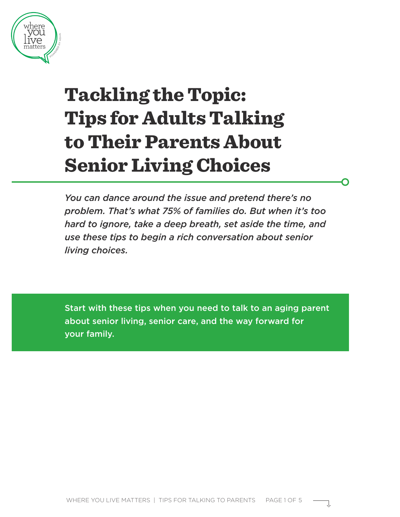

# Tackling the Topic: Tips for Adults Talking to Their Parents About Senior Living Choices

*You can dance around the issue and pretend there's no problem. That's what 75% of families do. But when it's too hard to ignore, take a deep breath, set aside the time, and use these tips to begin a rich conversation about senior living choices.*

Start with these tips when you need to talk to an aging parent about senior living, senior care, and the way forward for your family.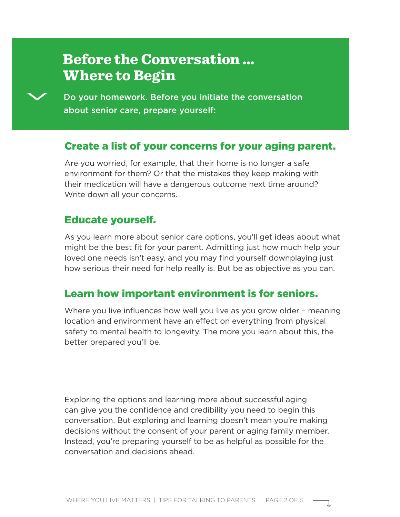## Before the Conversation … Where to Begin



Do your homework. Before you initiate the conversation about senior care, prepare yourself:

#### Create a list of your concerns for your aging parent.

Are you worried, for example, that their home is no longer a safe environment for them? Or that the mistakes they keep making with their medication will have a dangerous outcome next time around? Write down all your concerns.

#### Educate yourself.

As you learn more about senior care options, you'll get ideas about what might be the best fit for your parent. Admitting just how much help your loved one needs isn't easy, and you may find yourself downplaying just how serious their need for help really is. But be as objective as you can.

#### Learn how important environment is for seniors.

Where you live influences how well you live as you grow older – meaning location and environment have an effect on everything from physical safety to mental health to longevity. The more you learn about this, the better prepared you'll be.

Exploring the options and learning more about successful aging can give you the confidence and credibility you need to begin this conversation. But exploring and learning doesn't mean you're making decisions without the consent of your parent or aging family member. Instead, you're preparing yourself to be as helpful as possible for the conversation and decisions ahead.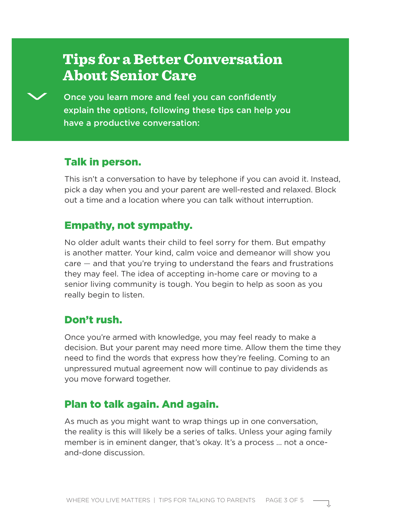## Tips for a Better Conversation About Senior Care

Once you learn more and feel you can confidently explain the options, following these tips can help you have a productive conversation:

#### Talk in person.

This isn't a conversation to have by telephone if you can avoid it. Instead, pick a day when you and your parent are well-rested and relaxed. Block out a time and a location where you can talk without interruption.

#### Empathy, not sympathy.

No older adult wants their child to feel sorry for them. But empathy is another matter. Your kind, calm voice and demeanor will show you care — and that you're trying to understand the fears and frustrations they may feel. The idea of accepting in-home care or moving to a senior living community is tough. You begin to help as soon as you really begin to listen.

#### Don't rush.

Once you're armed with knowledge, you may feel ready to make a decision. But your parent may need more time. Allow them the time they need to find the words that express how they're feeling. Coming to an unpressured mutual agreement now will continue to pay dividends as you move forward together.

#### Plan to talk again. And again.

As much as you might want to wrap things up in one conversation, the reality is this will likely be a series of talks. Unless your aging family member is in eminent danger, that's okay. It's a process … not a onceand-done discussion.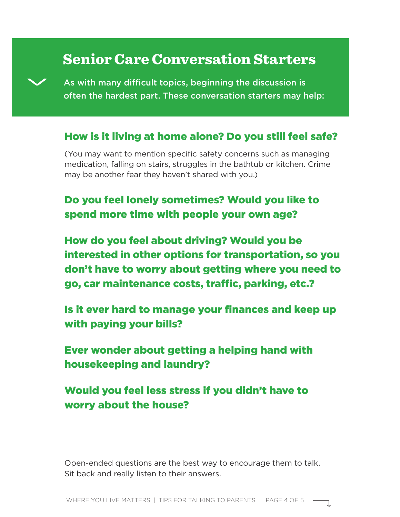### Senior Care Conversation Starters



As with many difficult topics, beginning the discussion is often the hardest part. These conversation starters may help:

#### How is it living at home alone? Do you still feel safe?

(You may want to mention specific safety concerns such as managing medication, falling on stairs, struggles in the bathtub or kitchen. Crime may be another fear they haven't shared with you.)

### Do you feel lonely sometimes? Would you like to spend more time with people your own age?

How do you feel about driving? Would you be interested in other options for transportation, so you don't have to worry about getting where you need to go, car maintenance costs, traffic, parking, etc.?

Is it ever hard to manage your finances and keep up with paying your bills?

Ever wonder about getting a helping hand with housekeeping and laundry?

Would you feel less stress if you didn't have to worry about the house?

Open-ended questions are the best way to encourage them to talk. Sit back and really listen to their answers.